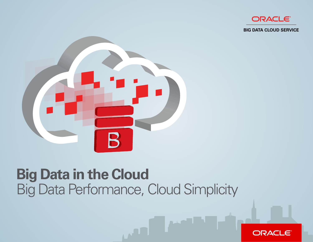

**BIG DATA CLOUD SERVICE** 



### **Big Data in the Cloud**  Big Data Performance, Cloud Simplicity

**MALL** 

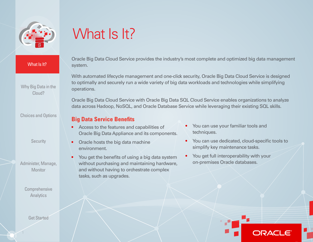<span id="page-1-0"></span>

[Why Big Data in the](#page-2-0)  [Cloud?](#page-2-0) 

[Choices and Options](#page-3-0)

**Security** 

[Administer, Manage,](#page-5-0)  **Monitor** 

> **Comprehensive Analytics**

> > [Get Started](#page-7-0)

1

# What Is It?

Oracle Big Data Cloud Service provides the industry's most complete and optimized big data management system.

With automated lifecycle management and one-click security, Oracle Big Data Cloud Service is designed to optimally and securely run a wide variety of big data workloads and technologies while simplifying operations.

Oracle Big Data Cloud Service with Oracle Big Data SQL Cloud Service enables organizations to analyze data across Hadoop, NoSQL, and Oracle Database Service while leveraging their existing SQL skills.

#### **Big Data Service Benefits**

- Oracle Big Data Appliance and its components. techniques.
- environment. Simplify key maintenance tasks.
- **From get the benefits of using a big data system <br>• <b>•** You get full interoperability with your<br>**• • on-premises Oracle databases.** without purchasing and maintaining hardware, and without having to orchestrate complex tasks, such as upgrades.
- Access to the features and capabilities of **•** You can use your familiar tools and
	- You can use dedicated, cloud-specific tools to **• Oracle hosts the big data machine** 
		-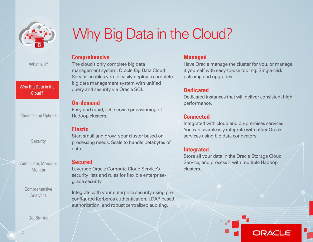<span id="page-2-0"></span>

Why Big Data in the Why Big Data in the Cloud? Cloud?

[Choices and Options](#page-3-0)

**Security** 

[Administer, Manage,](#page-5-0)  **Monitor** 

> **Comprehensive Analytics**

> > [Get Started](#page-7-0)

### Why Big Data in the Cloud?

#### **Comprehensive**

The cloud's only complete big data management system, Oracle Big Data Cloud Service enables you to easily deploy a complete big data management system with unifed query and security via Oracle SQL.

#### **On-demand**

Easy and rapid, self-service provisioning of Hadoop clusters.

#### **Elastic**

Start small and grow your cluster based on processing needs. Scale to handle petabytes of data.

#### **Secured**

Leverage Oracle Compute Cloud Service's security lists and rules for flexible enterprisegrade security.

Integrate with your enterprise security using preconfigured Kerberos authentication, LDAP based authorization, and robust centralized auditing.

#### **Managed**

Have Oracle manage the cluster for you, or manage it yourself with easy-to-use tooling. Single-click patching and upgrades.

### **Dedicated**

Dedicated instances that will deliver consistent high performance.

#### **Connected**

Integrated with cloud and on-premises services. You can seamlessly integrate with other Oracle services using big data connectors.

#### **Integrated**

Store all your data in the Oracle Storage Cloud Service, and process it with multiple Hadoop clusters.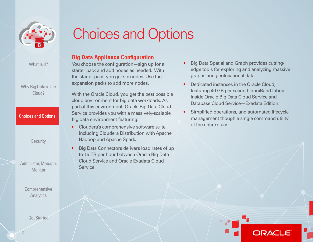<span id="page-3-0"></span>

[Why Big Data in the](#page-2-0)  [Cloud?](#page-2-0) 

## Choices and Options

#### **Big Data Appliance Confguration**

You choose the configuration—sign up for a starter pack and add nodes as needed. With the starter pack, you get six nodes. Use the expansion packs to add more nodes.

With the Oracle Cloud, you get the best possible cloud environment for big data workloads. As part of this environment, Oracle Big Data Cloud Service provides you with a massively-scalable big data environment featuring:

- Cloudera's comprehensive software suite including Cloudera Distribution with Apache Hadoop and Apache Spark.
- Big Data Connectors delivers load rates of up to 15 TB per hour between Oracle Big Data Cloud Service and Oracle Exadata Cloud Service.
- Big Data Spatial and Graph provides cuttingedge tools for exploring and analyzing massive graphs and geolocational data.
- Dedicated instances in the Oracle Cloud, featuring 40 GB per second InfiniBand fabric inside Oracle Big Data Cloud Service and Database Cloud Service—Exadata Edition.
- Simplifed operations, and automated lifecycle management though a single command utility of the entire stack.

**Security** 

**Choices and Options** 

[Administer, Manage,](#page-5-0)  **Monitor** 

> **Comprehensive Analytics**

> > [Get Started](#page-7-0)

3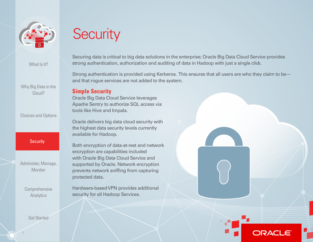<span id="page-4-0"></span>

[Why Big Data in the](#page-2-0)  [Cloud?](#page-2-0) 

[Choices and Options](#page-3-0)

#### Security

[Administer, Manage,](#page-5-0)  **Monitor** 

> **Comprehensive** [Analytics](#page-6-0)

> > [Get Started](#page-7-0)

Securing data is critical to big data solutions in the enterprise; Oracle Big Data Cloud Service provides strong authentication, authorization and auditing of data in Hadoop with just a single click.

Strong authentication is provided using Kerberos. This ensures that all users are who they claim to be and that rogue services are not added to the system.

#### **Simple Security**

**Security** 

Oracle Big Data Cloud Service leverages Apache Sentry to authorize SQL access via tools like Hive and Impala.

Oracle delivers big data cloud security with the highest data security levels currently available for Hadoop.

Both encryption of data-at-rest and network encryption are capabilities included with Oracle Big Data Cloud Service and supported by Oracle. Network encryption prevents network sniffing from capturing protected data.

Hardware-based VPN provides additional security for all Hadoop Services.

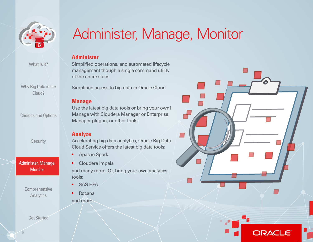<span id="page-5-0"></span>

[Why Big Data in the](#page-2-0)  [Cloud?](#page-2-0) 

[Choices and Options](#page-3-0)

**Security** 

Administer, Manage, Administer, Manage, Monitor Monitor

> **Comprehensive** [Analytics](#page-6-0)

> > [Get Started](#page-7-0)

### Administer, Manage, Monitor

#### **Administer**

Simplifed operations, and automated lifecycle management though a single command utility of the entire stack.

Simplifed access to big data in Oracle Cloud.

#### **Manage**

Use the latest big data tools or bring your own! Manage with Cloudera Manager or Enterprise Manager plug-in, or other tools.

#### **Analyze**

Accelerating big data analytics, Oracle Big Data Cloud Service offers the latest big data tools:

- Apache Spark
- Cloudera Impala

and many more. Or, bring your own analytics tools:

- SAS HPA
- Rocana and more.

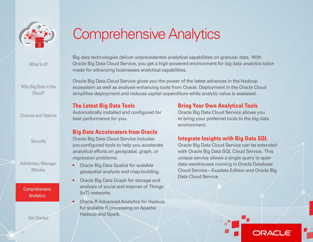<span id="page-6-0"></span>

[Why Big Data in the](#page-2-0)  [Cloud?](#page-2-0) 

[Choices and Options](#page-3-0)

**Security** 

[Administer, Manage,](#page-5-0)  **Monitor** 

Comprehensive Comprehensive Analytics Analytics

[Get Started](#page-7-0) 

6

### Comprehensive Analytics

Big data technologies deliver unprecedented analytical capabilities on granular data. With Oracle Big Data Cloud Service, you get a high-powered environment for big data analytics tailormade for advancing businesses analytical capabilities.

Oracle Big Data Cloud Service gives you the power of the latest advances in the Hadoop ecosystem as well as analysis-enhancing tools from Oracle. Deployment in the Oracle Cloud simplifies deployment and reduces capital expenditure while analytic value is assessed.

#### **Big Data Accelerators from Oracle**

- 
- Oracle Big Data Graph for storage and analysis of social and Internet of Things (IoT) networks.
	- Oracle R Advanced Analytics for Hadoop for scalable R processing on Apache Hadoop and Spark.

### **The Latest Big Data Tools <b>Bring Your Own Analytical Tools**

Automatically installed and configured for **Oracle Big Data Cloud Service allows you** best performance for you. The state of the big data to bring your preferred tools to the big data environment.

### Oracle Big Data Cloud Service includes **Integrate Insights with Big Data SQL**

Data Cloud Service. pre-confgured tools to help you accelerate Oracle Big Data Cloud Service can be extended analytical efforts on geospatial, graph, or with Oracle Big Data SQL Cloud Service. This regression problems. **Exercise 20** and the unique service allows a single query to span • Oracle Big Data Spatial for scalable **• business** data warehouses running in Oracle Database geospatial analysis and map-building. Cloud Service—Exadata Edition and Oracle Big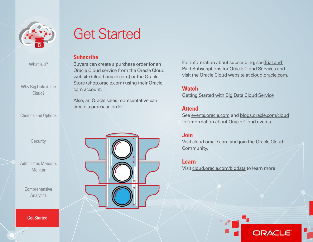<span id="page-7-0"></span>

[Why Big Data in the](#page-2-0)  [Cloud?](#page-2-0) 

[Choices and Options](#page-3-0)

**Security** 

[Administer, Manage,](#page-5-0)  **Monitor** 

> **Comprehensive** [Analytics](#page-6-0)

**Get Started** 

7

### Get Started

#### **Subscribe**

Buyers can create a purchase order for an Oracle Cloud service from the Oracle Cloud website [\(cloud.oracle.com\)](http://cloud.oracle.com) or the Oracle Store [\(shop.oracle.com\)](http://shop.oracle.com) using their Oracle. com account.

Also, an Oracle sales representative can create a purchase order.



For information about subscribing, see Trial and [Paid Subscriptions for Oracle Cloud Services](http://docs.oracle.com/cloud/latest/trial_paid_subscriptions/index.html) and visit the Oracle Cloud website at [cloud.oracle.com](https://cloud.oracle.com/home).

#### **Watch**

[Getting Started with Big Data Cloud Service](https://cloud.oracle.com/bigdata) 

#### **Attend**

See [events.oracle.com](http://events.oracle.com/search/search%3Fgroup%3DEvents%26keyword%3D) and [blogs.oracle.com/cloud](https://blogs.oracle.com/cloud/)  for information about Oracle Cloud events.

#### **Join**

Visit [cloud.oracle.com](https://cloud.oracle.com/home) and join the Oracle Cloud Community.

#### **Learn**

Visit [cloud.oracle.com/bigdata](https://cloud.oracle.com/bigdata) to learn more